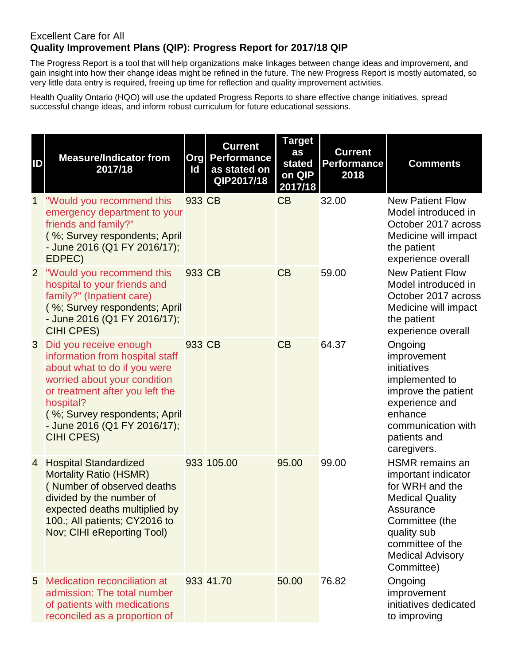## Excellent Care for All **Quality Improvement Plans (QIP): Progress Report for 2017/18 QIP**

The Progress Report is a tool that will help organizations make linkages between change ideas and improvement, and gain insight into how their change ideas might be refined in the future. The new Progress Report is mostly automated, so very little data entry is required, freeing up time for reflection and quality improvement activities.

Health Quality Ontario (HQO) will use the updated Progress Reports to share effective change initiatives, spread successful change ideas, and inform robust curriculum for future educational sessions.

| ID             | <b>Measure/Indicator from</b><br>2017/18                                                                                                                                                                                                                 | Id     | <b>Current</b><br><b>Org Performance</b><br>as stated on<br>QIP2017/18 | <b>Target</b><br>as<br>stated<br>on QIP<br>2017/18 | <b>Current</b><br><b>Performance</b><br>2018 | <b>Comments</b>                                                                                                                                                                                       |
|----------------|----------------------------------------------------------------------------------------------------------------------------------------------------------------------------------------------------------------------------------------------------------|--------|------------------------------------------------------------------------|----------------------------------------------------|----------------------------------------------|-------------------------------------------------------------------------------------------------------------------------------------------------------------------------------------------------------|
| $\mathbf{1}$   | "Would you recommend this<br>emergency department to your<br>friends and family?"<br>(%; Survey respondents; April<br>- June 2016 (Q1 FY 2016/17);<br>EDPEC)                                                                                             | 933 CB |                                                                        | CB                                                 | 32.00                                        | <b>New Patient Flow</b><br>Model introduced in<br>October 2017 across<br>Medicine will impact<br>the patient<br>experience overall                                                                    |
| $\overline{2}$ | "Would you recommend this<br>hospital to your friends and<br>family?" (Inpatient care)<br>(%; Survey respondents; April<br>- June 2016 (Q1 FY 2016/17);<br><b>CIHI CPES)</b>                                                                             | 933 CB |                                                                        | CB                                                 | 59.00                                        | <b>New Patient Flow</b><br>Model introduced in<br>October 2017 across<br>Medicine will impact<br>the patient<br>experience overall                                                                    |
| 3              | Did you receive enough<br>information from hospital staff<br>about what to do if you were<br>worried about your condition<br>or treatment after you left the<br>hospital?<br>(%; Survey respondents; April<br>- June 2016 (Q1 FY 2016/17);<br>CIHI CPES) | 933 CB |                                                                        | CB                                                 | 64.37                                        | Ongoing<br>improvement<br>initiatives<br>implemented to<br>improve the patient<br>experience and<br>enhance<br>communication with<br>patients and<br>caregivers.                                      |
|                | 4 Hospital Standardized<br><b>Mortality Ratio (HSMR)</b><br>(Number of observed deaths<br>divided by the number of<br>expected deaths multiplied by<br>100.; All patients; CY2016 to<br>Nov; CIHI eReporting Tool)                                       |        | 933 105.00                                                             | 95.00                                              | 99.00                                        | <b>HSMR</b> remains an<br>important indicator<br>for WRH and the<br><b>Medical Quality</b><br>Assurance<br>Committee (the<br>quality sub<br>committee of the<br><b>Medical Advisory</b><br>Committee) |
| 5              | Medication reconciliation at<br>admission: The total number<br>of patients with medications<br>reconciled as a proportion of                                                                                                                             |        | 933 41.70                                                              | 50.00                                              | 76.82                                        | Ongoing<br>improvement<br>initiatives dedicated<br>to improving                                                                                                                                       |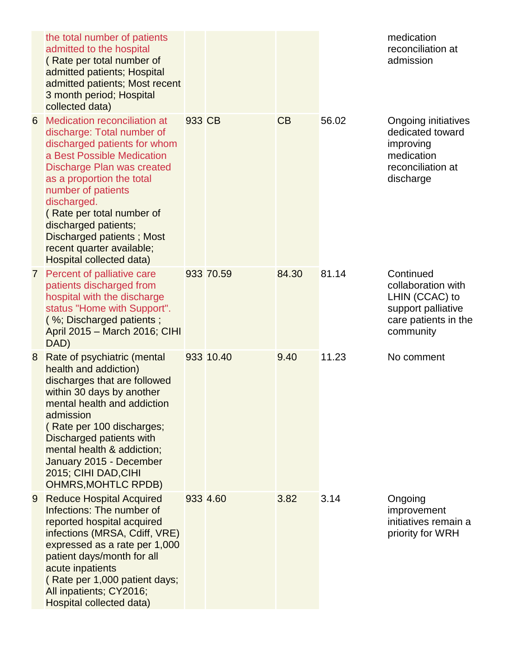|                | the total number of patients<br>admitted to the hospital<br>(Rate per total number of<br>admitted patients; Hospital<br>admitted patients; Most recent<br>3 month period; Hospital<br>collected data)                                                                                                                                                                      |        |           |       |       | medication<br>reconciliation at<br>admission                                                                 |
|----------------|----------------------------------------------------------------------------------------------------------------------------------------------------------------------------------------------------------------------------------------------------------------------------------------------------------------------------------------------------------------------------|--------|-----------|-------|-------|--------------------------------------------------------------------------------------------------------------|
| 6              | <b>Medication reconciliation at</b><br>discharge: Total number of<br>discharged patients for whom<br>a Best Possible Medication<br>Discharge Plan was created<br>as a proportion the total<br>number of patients<br>discharged.<br>(Rate per total number of<br>discharged patients;<br>Discharged patients; Most<br>recent quarter available;<br>Hospital collected data) | 933 CB |           | CB    | 56.02 | Ongoing initiatives<br>dedicated toward<br>improving<br>medication<br>reconciliation at<br>discharge         |
| 7 <sup>1</sup> | Percent of palliative care<br>patients discharged from<br>hospital with the discharge<br>status "Home with Support".<br>(%; Discharged patients;<br>April 2015 - March 2016; CIHI<br>DAD)                                                                                                                                                                                  |        | 933 70.59 | 84.30 | 81.14 | Continued<br>collaboration with<br>LHIN (CCAC) to<br>support palliative<br>care patients in the<br>community |
| 8              | Rate of psychiatric (mental<br>health and addiction)<br>discharges that are followed<br>within 30 days by another<br>mental health and addiction<br>admission<br>(Rate per 100 discharges;<br>Discharged patients with<br>mental health & addiction;<br>January 2015 - December<br>2015; CIHI DAD, CIHI<br><b>OHMRS, MOHTLC RPDB)</b>                                      |        | 933 10.40 | 9.40  | 11.23 | No comment                                                                                                   |
| 9              | <b>Reduce Hospital Acquired</b><br>Infections: The number of<br>reported hospital acquired<br>infections (MRSA, Cdiff, VRE)<br>expressed as a rate per 1,000<br>patient days/month for all<br>acute inpatients<br>(Rate per 1,000 patient days;<br>All inpatients; CY2016;<br>Hospital collected data)                                                                     |        | 933 4.60  | 3.82  | 3.14  | Ongoing<br>improvement<br>initiatives remain a<br>priority for WRH                                           |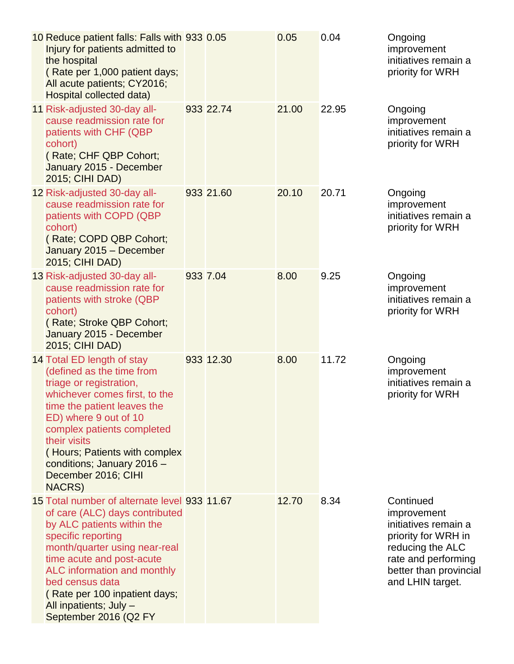| 10 Reduce patient falls: Falls with 933 0.05<br>Injury for patients admitted to<br>the hospital<br>(Rate per 1,000 patient days;<br>All acute patients; CY2016;<br>Hospital collected data)                                                                                                                                            |           | 0.05  | 0.04  | Ongoing<br>improvement<br>initiatives remain a<br>priority for WRH                                                                                               |
|----------------------------------------------------------------------------------------------------------------------------------------------------------------------------------------------------------------------------------------------------------------------------------------------------------------------------------------|-----------|-------|-------|------------------------------------------------------------------------------------------------------------------------------------------------------------------|
| 11 Risk-adjusted 30-day all-<br>cause readmission rate for<br>patients with CHF (QBP<br>cohort)<br>(Rate; CHF QBP Cohort;<br>January 2015 - December<br>2015; CIHI DAD)                                                                                                                                                                | 933 22.74 | 21.00 | 22.95 | Ongoing<br>improvement<br>initiatives remain a<br>priority for WRH                                                                                               |
| 12 Risk-adjusted 30-day all-<br>cause readmission rate for<br>patients with COPD (QBP<br>cohort)<br>(Rate; COPD QBP Cohort;<br>January 2015 - December<br>2015; CIHI DAD)                                                                                                                                                              | 933 21.60 | 20.10 | 20.71 | Ongoing<br>improvement<br>initiatives remain a<br>priority for WRH                                                                                               |
| 13 Risk-adjusted 30-day all-<br>cause readmission rate for<br>patients with stroke (QBP<br>cohort)<br>(Rate; Stroke QBP Cohort;<br>January 2015 - December<br>2015; CIHI DAD)                                                                                                                                                          | 933 7.04  | 8.00  | 9.25  | Ongoing<br>improvement<br>initiatives remain a<br>priority for WRH                                                                                               |
| 14 Total ED length of stay<br>(defined as the time from<br>triage or registration,<br>whichever comes first, to the<br>time the patient leaves the<br>ED) where 9 out of 10<br>complex patients completed<br>their visits<br>(Hours; Patients with complex<br>conditions; January 2016 -<br>December 2016; CIHI<br><b>NACRS</b> )      | 933 12.30 | 8.00  | 11.72 | Ongoing<br>improvement<br>initiatives remain a<br>priority for WRH                                                                                               |
| 15 Total number of alternate level 933 11.67<br>of care (ALC) days contributed<br>by ALC patients within the<br>specific reporting<br>month/quarter using near-real<br>time acute and post-acute<br>ALC information and monthly<br>bed census data<br>(Rate per 100 inpatient days;<br>All inpatients; July -<br>September 2016 (Q2 FY |           | 12.70 | 8.34  | Continued<br>improvement<br>initiatives remain a<br>priority for WRH in<br>reducing the ALC<br>rate and performing<br>better than provincial<br>and LHIN target. |